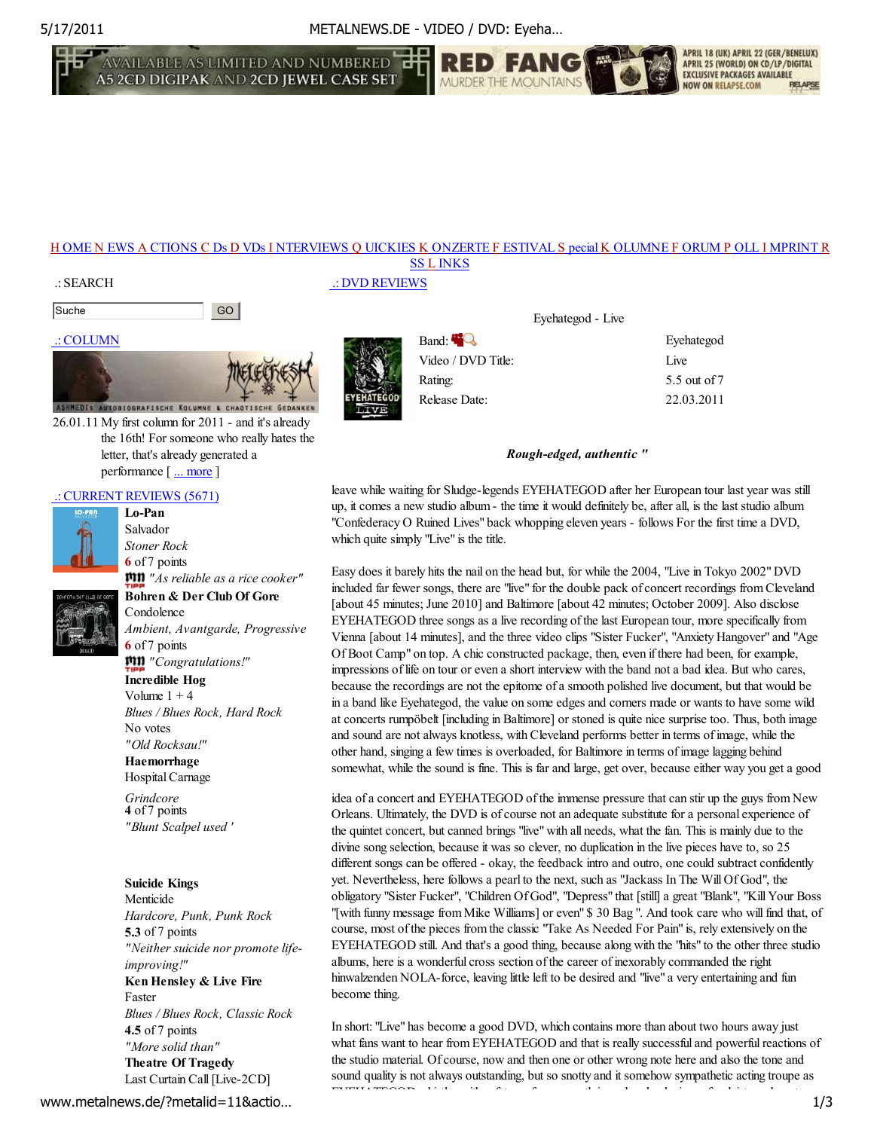5/17/2011 METALNEWS.DE - VIDEO / DVD: Eyeha…

AVAILABLE AS LIMITED AND NUMBERED **1** 



### H OME N EWS A CTIONS C Ds D VDs I NTERVIEWS Q UICKIES K ONZERTE F ESTIVAL S pecial K OLUMNE F ORUM P OLL I MPRINT R SS L INKS

#### .: SEARCH

```
Suche GO GO
```
# .: COLUMN



26.01.11 My first column for 2011 - and it's already the 16th! For someone who really hates the letter, that's already generated a performance [ ... more ]

## .: CURRENT REVIEWS (5671)



Salvador *Stoner Rock* **6** of 7 points *"As reliable as a rice cooker"* **Bohren & Der Club Of Gore**

Condolence *Ambient, Avantgarde, Progressive* **6** of 7 points *"Congratulations!"* **Incredible Hog** Volume  $1 + 4$ *Blues / Blues Rock, Hard Rock* No votes

*"Old Rocksau!"* **Haemorrhage**

Hospital Carnage

*Grindcore* **4** of 7 points *"Blunt Scalpel used '*

### **Suicide Kings**

Menticide *Hardcore, Punk, Punk Rock* **5.3** of 7 points *"Neither suicide nor promote lifeimproving!"* **Ken Hensley & Live Fire** Faster *Blues / Blues Rock, Classic Rock* **4.5** of 7 points *"More solid than"* **Theatre Of Tragedy** Last Curtain Call [Live-2CD]

*Avantgarde / Electronica, Dark* www.metalnews.de/?metalid=11&actio… 1/3

# .: DVD REVIEWS



Video / DVD Title: Live

Eyehategod - Live

Band: **Exercise Server and Exercise Server and Exercise Server and Exercise Server and Exercise Server and Exercise** Rating: 5.5 out of 7 Release Date: 22.03.2011

APRIL 18 (UK) APRIL 22 (GER/BENELUX)

APRIL 25 (WORLD) ON CD/LP/DIGITAL **EXCLUSIVE PACKAGES AVAILABLE** 

**NOW ON RELAPSE.COM** 

### *Rough-edged, authentic "*

leave while waiting for Sludge-legends EYEHATEGOD after her European tour last year was still up, it comes a new studio album - the time it would definitely be, after all, is the last studio album "Confederacy O Ruined Lives" back whopping eleven years - follows For the first time a DVD, which quite simply "Live" is the title.

Easy does it barely hits the nail on the head but, for while the 2004, "Live in Tokyo 2002" DVD included far fewer songs, there are "live" for the double pack of concert recordings from Cleveland [about 45 minutes; June 2010] and Baltimore [about 42 minutes; October 2009]. Also disclose EYEHATEGOD three songs as a live recording of the last European tour, more specifically from Vienna [about 14 minutes], and the three video clips "Sister Fucker", "Anxiety Hangover" and "Age Of Boot Camp" on top. A chic constructed package, then, even if there had been, for example, impressions of life on tour or even a short interview with the band not a bad idea. But who cares, because the recordings are not the epitome of a smooth polished live document, but that would be in a band like Eyehategod, the value on some edges and corners made or wants to have some wild at concerts rumpöbelt [including in Baltimore] or stoned is quite nice surprise too. Thus, both image and sound are not always knotless, with Cleveland performs better in terms of image, while the other hand, singing a few times is overloaded, for Baltimore in terms of image lagging behind somewhat, while the sound is fine. This is far and large, get over, because either way you get a good

idea of a concert and EYEHATEGOD of the immense pressure that can stir up the guys from New Orleans. Ultimately, the DVD is of course not an adequate substitute for a personal experience of the quintet concert, but canned brings "live" with all needs, what the fan. This is mainly due to the divine song selection, because it was so clever, no duplication in the live pieces have to, so 25 different songs can be offered - okay, the feedback intro and outro, one could subtract confidently yet. Nevertheless, here follows a pearl to the next, such as "Jackass In The Will Of God", the obligatory "Sister Fucker", "Children Of God", "Depress" that [still] a great "Blank", "Kill Your Boss "[with funny message from Mike Williams] or even" \$ 30 Bag ". And took care who will find that, of course, most of the pieces from the classic "Take As Needed For Pain" is, rely extensively on the EYEHATEGOD still. And that's a good thing, because along with the "hits" to the other three studio albums, here is a wonderful cross section of the career of inexorably commanded the right hinwalzenden NOLA-force, leaving little left to be desired and "live" a very entertaining and fun become thing.

In short: "Live" has become a good DVD, which contains more than about two hours away just what fans want to hear from EYEHATEGOD and that is really successful and powerful reactions of the studio material. Of course, now and then one or other wrong note here and also the tone and sound quality is not always outstanding, but so snotty and it somehow sympathetic acting troupe as EYEHATEGOD whistles with safety surface, smooth ironed and unloving aufgegleiste and post-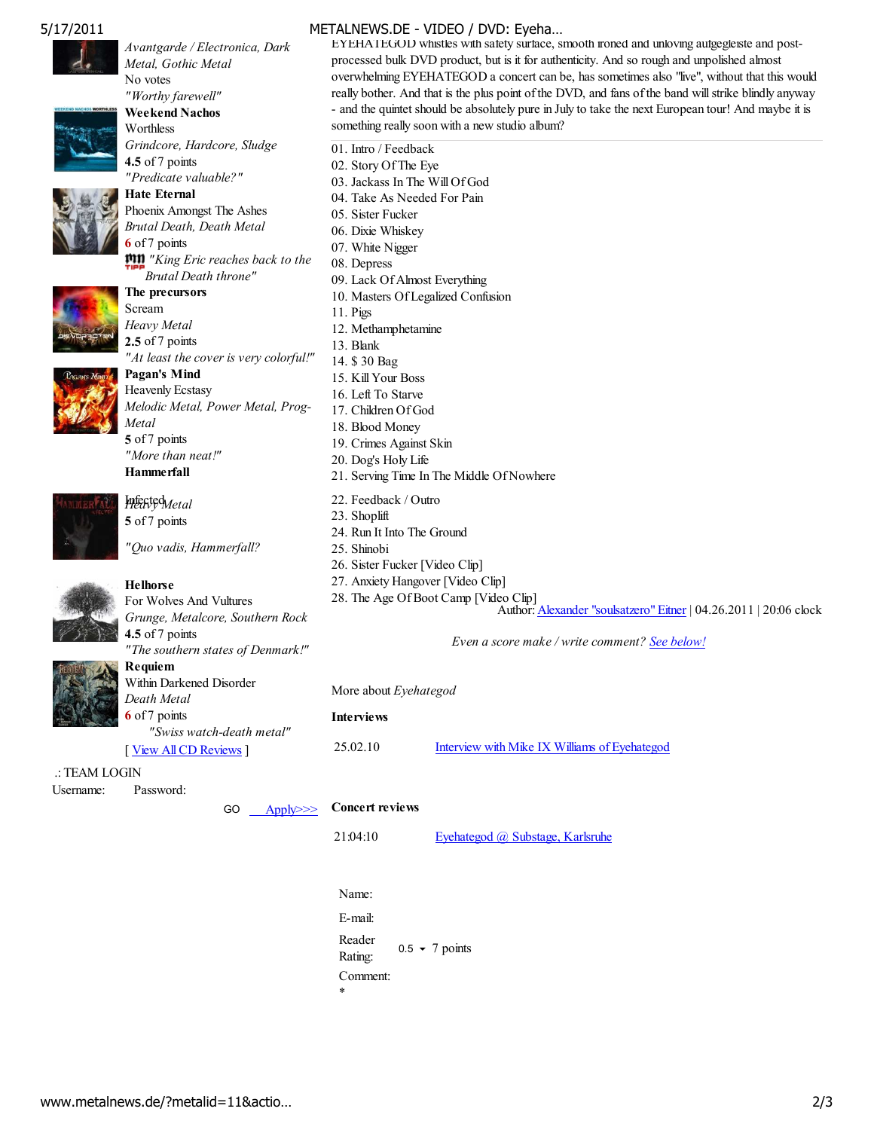

*Avantgarde / Electronica, Dark Metal, Gothic Metal* No votes



*"Worthy farewell"* **Weekend Nachos Worthless** *Grindcore, Hardcore, Sludge* **4.5** of 7 points *"Predicate valuable?"*

**Hate Eternal** Phoenix Amongst The Ashes *Brutal Death, Death Metal* **6** of 7 points *"King Eric reaches back to the Brutal Death throne"*



**The precursors** Scream *Heavy Metal* **2.5** of 7 points *"At least the cover is very colorful!"*



**Pagan's Mind** Heavenly Ecstasy *Melodic Metal, Power Metal, Prog-Metal* **5** of 7 points *"More than neat!"* **Hammerfall**



Infected *Heavy Metal* **5** of 7 points

*"Quo vadis, Hammerfall?*



**Helhorse** For Wolves And Vultures *Grunge, Metalcore, Southern Rock* **4.5** of 7 points *"The southern states of Denmark!"* **Requiem** Within Darkened Disorder

*Death Metal* **6** of 7 points *"Swiss watch-death metal"* [ <u>View All CD Reviews</u> ]

 .: TEAM LOGIN Username: Password:

GO Apply>>>



E-mail: Reader Rating:  $0.5 \times 7$  points Comment: \*

EYEHATEGOD whistles with safety surface, smooth ironed and unloving aufgegleiste and postprocessed bulk DVD product, but is it for authenticity. And so rough and unpolished almost overwhelming EYEHATEGOD a concert can be, has sometimes also "live", without that this would really bother. And that is the plus point of the DVD, and fans of the band will strike blindly anyway - and the quintet should be absolutely pure in July to take the next European tour! And maybe it is something really soon with a new studio album?

01. Intro / Feedback 02. Story Of The Eye 03. Jackass In The Will Of God 04. Take As Needed For Pain 05. Sister Fucker 06. Dixie Whiskey 07. White Nigger 08. Depress 09. Lack Of Almost Everything 10. Masters Of Legalized Confusion 11. Pigs 12. Methamphetamine 13. Blank 14. \$ 30 Bag 15. Kill Your Boss 16. Left To Starve 17. Children Of God 18. Blood Money 19. Crimes Against Skin 20. Dog's Holy Life 21. Serving Time In The Middle Of Nowhere 22. Feedback / Outro 23. Shoplift 24. Run It Into The Ground 25. Shinobi 26. Sister Fucker [Video Clip] 27. Anxiety Hangover [Video Clip] 28. The Age Of Boot Camp [Video Clip] Author: Alexander "soulsatzero" Eitner | 04.26.2011 | 20:06 clock *Even a score make / write comment? See below!* More about *Eyehategod* **Interviews** 25.02.10 Interview with Mike IX Williams of Eyehategod **Concert reviews** 21:04:10 Eyehategod @ Substage, Karlsruhe